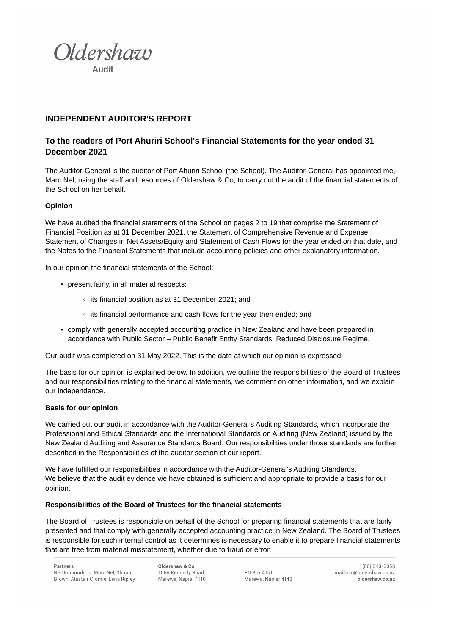

# **INDEPENDENT AUDITOR'S REPORT**

# **To the readers of Port Ahuriri School's Financial Statements for the year ended 31 December 2021**

The Auditor-General is the auditor of Port Ahuriri School (the School). The Auditor-General has appointed me, Marc Nel, using the staff and resources of Oldershaw & Co, to carry out the audit of the financial statements of the School on her behalf.

## **Opinion**

We have audited the financial statements of the School on pages 2 to 19 that comprise the Statement of Financial Position as at 31 December 2021, the Statement of Comprehensive Revenue and Expense, Statement of Changes in Net Assets/Equity and Statement of Cash Flows for the year ended on that date, and the Notes to the Financial Statements that include accounting policies and other explanatory information.

In our opinion the financial statements of the School:

- present fairly, in all material respects:
	- its financial position as at 31 December 2021; and
	- its financial performance and cash flows for the year then ended; and
- comply with generally accepted accounting practice in New Zealand and have been prepared in accordance with Public Sector – Public Benefit Entity Standards, Reduced Disclosure Regime.

Our audit was completed on 31 May 2022. This is the date at which our opinion is expressed.

The basis for our opinion is explained below. In addition, we outline the responsibilities of the Board of Trustees and our responsibilities relating to the financial statements, we comment on other information, and we explain our independence.

#### **Basis for our opinion**

We carried out our audit in accordance with the Auditor-General's Auditing Standards, which incorporate the Professional and Ethical Standards and the International Standards on Auditing (New Zealand) issued by the New Zealand Auditing and Assurance Standards Board. Our responsibilities under those standards are further described in the Responsibilities of the auditor section of our report.

We have fulfilled our responsibilities in accordance with the Auditor-General's Auditing Standards. We believe that the audit evidence we have obtained is sufficient and appropriate to provide a basis for our opinion.

## **Responsibilities of the Board of Trustees for the financial statements**

The Board of Trustees is responsible on behalf of the School for preparing financial statements that are fairly presented and that comply with generally accepted accounting practice in New Zealand. The Board of Trustees is responsible for such internal control as it determines is necessary to enable it to prepare financial statements that are free from material misstatement, whether due to fraud or error.

Oldershaw & Co. 106A Kennedy Road, Marewa, Napier 4110

PO Box 4151 Marewa, Napier 4143

 $(06) 843 - 3058$ mailbox@oldershaw.co.nz oldershaw.co.nz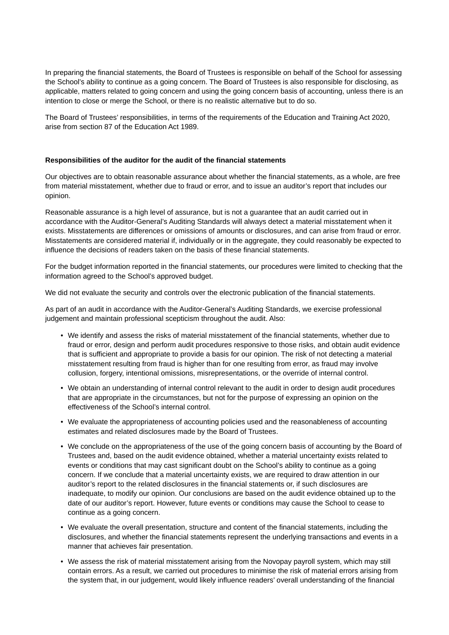In preparing the financial statements, the Board of Trustees is responsible on behalf of the School for assessing the School's ability to continue as a going concern. The Board of Trustees is also responsible for disclosing, as applicable, matters related to going concern and using the going concern basis of accounting, unless there is an intention to close or merge the School, or there is no realistic alternative but to do so.

The Board of Trustees' responsibilities, in terms of the requirements of the Education and Training Act 2020, arise from section 87 of the Education Act 1989.

## **Responsibilities of the auditor for the audit of the financial statements**

Our objectives are to obtain reasonable assurance about whether the financial statements, as a whole, are free from material misstatement, whether due to fraud or error, and to issue an auditor's report that includes our opinion.

Reasonable assurance is a high level of assurance, but is not a guarantee that an audit carried out in accordance with the Auditor-General's Auditing Standards will always detect a material misstatement when it exists. Misstatements are differences or omissions of amounts or disclosures, and can arise from fraud or error. Misstatements are considered material if, individually or in the aggregate, they could reasonably be expected to influence the decisions of readers taken on the basis of these financial statements.

For the budget information reported in the financial statements, our procedures were limited to checking that the information agreed to the School's approved budget.

We did not evaluate the security and controls over the electronic publication of the financial statements.

As part of an audit in accordance with the Auditor-General's Auditing Standards, we exercise professional judgement and maintain professional scepticism throughout the audit. Also:

- We identify and assess the risks of material misstatement of the financial statements, whether due to fraud or error, design and perform audit procedures responsive to those risks, and obtain audit evidence that is sufficient and appropriate to provide a basis for our opinion. The risk of not detecting a material misstatement resulting from fraud is higher than for one resulting from error, as fraud may involve collusion, forgery, intentional omissions, misrepresentations, or the override of internal control.
- We obtain an understanding of internal control relevant to the audit in order to design audit procedures that are appropriate in the circumstances, but not for the purpose of expressing an opinion on the effectiveness of the School's internal control.
- We evaluate the appropriateness of accounting policies used and the reasonableness of accounting estimates and related disclosures made by the Board of Trustees.
- We conclude on the appropriateness of the use of the going concern basis of accounting by the Board of Trustees and, based on the audit evidence obtained, whether a material uncertainty exists related to events or conditions that may cast significant doubt on the School's ability to continue as a going concern. If we conclude that a material uncertainty exists, we are required to draw attention in our auditor's report to the related disclosures in the financial statements or, if such disclosures are inadequate, to modify our opinion. Our conclusions are based on the audit evidence obtained up to the date of our auditor's report. However, future events or conditions may cause the School to cease to continue as a going concern.
- We evaluate the overall presentation, structure and content of the financial statements, including the disclosures, and whether the financial statements represent the underlying transactions and events in a manner that achieves fair presentation.
- We assess the risk of material misstatement arising from the Novopay payroll system, which may still contain errors. As a result, we carried out procedures to minimise the risk of material errors arising from the system that, in our judgement, would likely influence readers' overall understanding of the financial